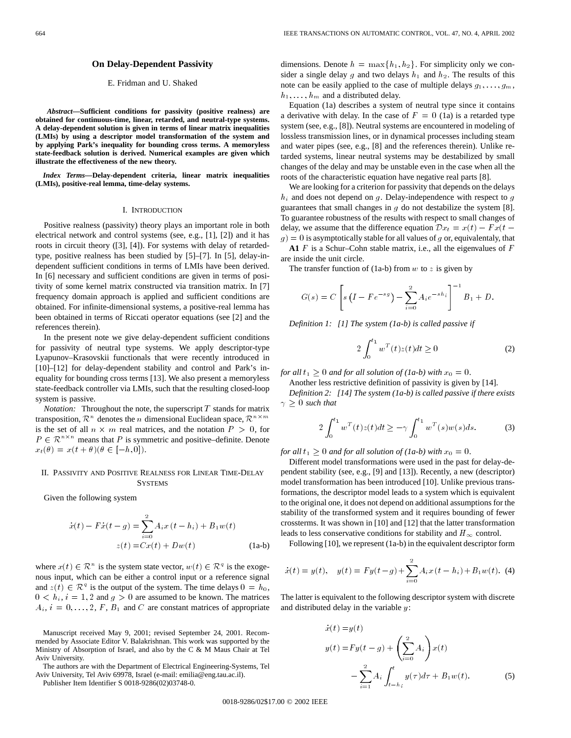## **On Delay-Dependent Passivity**

# E. Fridman and U. Shaked

*Abstract—***Sufficient conditions for passivity (positive realness) are obtained for continuous-time, linear, retarded, and neutral-type systems. A delay-dependent solution is given in terms of linear matrix inequalities (LMIs) by using a descriptor model transformation of the system and by applying Park's inequality for bounding cross terms. A memoryless state-feedback solution is derived. Numerical examples are given which illustrate the effectiveness of the new theory.**

*Index Terms—***Delay-dependent criteria, linear matrix inequalities (LMIs), positive-real lemma, time-delay systems.**

#### I. INTRODUCTION

Positive realness (passivity) theory plays an important role in both electrical network and control systems (see, e.g., [1], [2]) and it has roots in circuit theory ([3], [4]). For systems with delay of retardedtype, positive realness has been studied by [5]–[7]. In [5], delay-independent sufficient conditions in terms of LMIs have been derived. In [6] necessary and sufficient conditions are given in terms of positivity of some kernel matrix constructed via transition matrix. In [7] frequency domain approach is applied and sufficient conditions are obtained. For infinite-dimensional systems, a positive-real lemma has been obtained in terms of Riccati operator equations (see [2] and the references therein).

In the present note we give delay-dependent sufficient conditions for passivity of neutral type systems. We apply descriptor-type Lyapunov–Krasovskii functionals that were recently introduced in [10]–[12] for delay-dependent stability and control and Park's inequality for bounding cross terms [13]. We also present a memoryless state-feedback controller via LMIs, such that the resulting closed-loop system is passive.

*Notation:* Throughout the note, the superscript  $T$  stands for matrix transposition,  $\mathcal{R}^n$  denotes the *n* dimensional Euclidean space,  $\mathcal{R}^{n \times m}$ is the set of all  $n \times m$  real matrices, and the notation  $P > 0$ , for  $P \in \mathbb{R}^{n \times n}$  means that P is symmetric and positive–definite. Denote  $x_t(\theta) = x(t + \theta)(\theta \in [-h, 0]).$ 

## II. PASSIVITY AND POSITIVE REALNESS FOR LINEAR TIME-DELAY **SYSTEMS**

Given the following system

$$
\dot{x}(t) - F\dot{x}(t - g) = \sum_{i=0}^{2} A_i x (t - h_i) + B_1 w(t)
$$
  

$$
z(t) = Cx(t) + Dw(t)
$$
 (1a-b)

where  $x(t) \in \mathcal{R}^n$  is the system state vector,  $w(t) \in \mathcal{R}^q$  is the exogenous input, which can be either a control input or a reference signal and  $z(t) \in \mathcal{R}^q$  is the output of the system. The time delays  $0 = h_0$ ,  $0 < h_i$ ,  $i = 1, 2$  and  $q > 0$  are assumed to be known. The matrices  $A_i$ ,  $i = 0, \ldots, 2, F, B_1$  and C are constant matrices of appropriate

The authors are with the Department of Electrical Engineering-Systems, Tel Aviv University, Tel Aviv 69978, Israel (e-mail: emilia@eng.tau.ac.il).

Publisher Item Identifier S 0018-9286(02)03748-0.

dimensions. Denote  $h = \max\{h_1, h_2\}$ . For simplicity only we consider a single delay g and two delays  $h_1$  and  $h_2$ . The results of this note can be easily applied to the case of multiple delays  $g_1, \ldots, g_m$ ,  $h_1, \ldots, h_m$  and a distributed delay.

Equation (1a) describes a system of neutral type since it contains a derivative with delay. In the case of  $F = 0$  (1a) is a retarded type system (see, e.g., [8]). Neutral systems are encountered in modeling of lossless transmission lines, or in dynamical processes including steam and water pipes (see, e.g., [8] and the references therein). Unlike retarded systems, linear neutral systems may be destabilized by small changes of the delay and may be unstable even in the case when all the roots of the characteristic equation have negative real parts [8].

We are looking for a criterion for passivity that depends on the delays  $h_i$  and does not depend on g. Delay-independence with respect to g guarantees that small changes in  $g$  do not destabilize the system [8]. To guarantee robustness of the results with respect to small changes of delay, we assume that the difference equation  $\mathcal{D}x_t = x(t) - Fx(t$  $g$ ) = 0 is asymptotically stable for all values of g or, equivalentaly, that **A1** F is a Schur–Cohn stable matrix, i.e., all the eigenvalues of  $F$ are inside the unit circle.

The transfer function of (1a-b) from  $w$  to  $z$  is given by

$$
G(s) = C \left[ s \left( I - F e^{-s g} \right) - \sum_{i=0}^{2} A_i e^{-s h_i} \right]^{-1} B_1 + D.
$$

*Definition 1: [1] The system (1a-b) is called passive if*

$$
2\int_0^{t_1} w^T(t)z(t)dt \ge 0
$$
 (2)

*for all*  $t_1 \geq 0$  *and for all solution of (1a-b) with*  $x_0 = 0$ *.* 

Another less restrictive definition of passivity is given by [14]. *Definition 2: [14] The system (1a-b) is called passive if there exists*  $\gamma \geq 0$  such that

$$
2\int_0^{t_1} w^T(t)z(t)dt \ge -\gamma \int_0^{t_1} w^T(s)w(s)ds.
$$
 (3)

*for all*  $t_1 \geq 0$  *and for all solution of (1a-b) with*  $x_0 = 0$ *.* 

Different model transformations were used in the past for delay-dependent stability (see, e.g., [9] and [13]). Recently, a new (descriptor) model transformation has been introduced [10]. Unlike previous transformations, the descriptor model leads to a system which is equivalent to the original one, it does not depend on additional assumptions for the stability of the transformed system and it requires bounding of fewer crossterms. It was shown in [10] and [12] that the latter transformation leads to less conservative conditions for stability and  $H_{\infty}$  control.

Following [10], we represent (1a-b) in the equivalent descriptor form

\n leads to less conservative conditions for stability and 
$$
H_{\infty}
$$
 control. Following [10], we represent (1a-b) in the equivalent descriptor form\n

\n\n
$$
\dot{x}(t) = y(t), \quad y(t) = Fy(t - g) + \sum_{i=0}^{2} A_i x(t - h_i) + B_1 w(t).
$$
\n

The latter is equivalent to the following descriptor system with discrete and distributed delay in the variable  $y$ :

$$
\dot{x}(t) = y(t) \n y(t) = Fy(t - g) + \left(\sum_{i=0}^{2} A_i\right) x(t) \n- \sum_{i=1}^{2} A_i \int_{t - h_i}^{t} y(\tau) d\tau + B_1 w(t).
$$
\n(5)

0018-9286/02\$17.00 © 2002 IEEE

Manuscript received May 9, 2001; revised September 24, 2001. Recommended by Associate Editor V. Balakrishnan. This work was supported by the Ministry of Absorption of Israel, and also by the C & M Maus Chair at Tel Aviv University.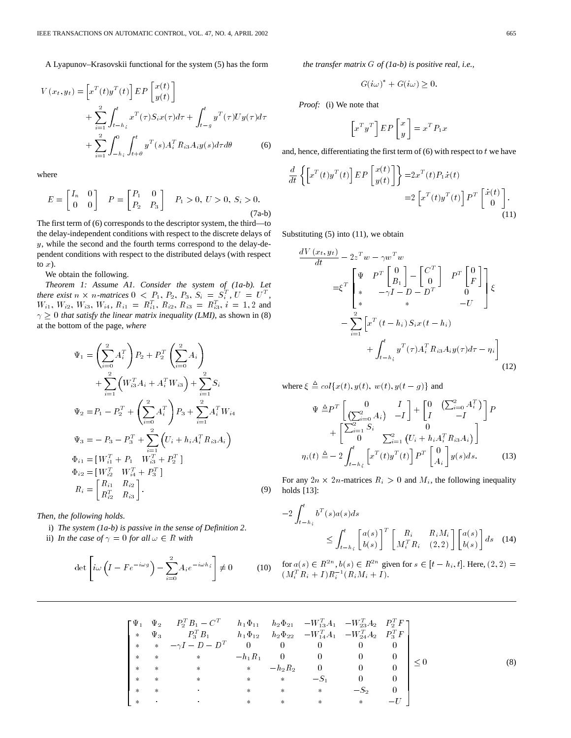A Lyapunov–Krasovskii functional for the system (5) has the form

$$
V(x_t, y_t) = \left[ x^T(t) y^T(t) \right] E P \left[ \begin{array}{c} x(t) \\ y(t) \end{array} \right] + \sum_{i=1}^2 \int_{t-h_i}^t x^T(\tau) S_i x(\tau) d\tau + \int_{t-g}^t y^T(\tau) U y(\tau) d\tau + \sum_{i=1}^2 \int_{-h_i}^0 \int_{t+\theta}^t y^T(s) A_i^T R_{i3} A_i y(s) d\tau d\theta
$$
 (6)

where

$$
E = \begin{bmatrix} I_n & 0 \\ 0 & 0 \end{bmatrix} \quad P = \begin{bmatrix} P_1 & 0 \\ P_2 & P_3 \end{bmatrix} \quad P_1 > 0, \ U > 0, \ S_i > 0. \tag{7a-b}
$$

The first term of (6) corresponds to the descriptor system, the third—to the delay-independent conditions with respect to the discrete delays of y, while the second and the fourth terms correspond to the delay-dependent conditions with respect to the distributed delays (with respect to  $x$ ).

We obtain the following.

*Theorem 1: Assume A1. Consider the system of (1a-b). Let there exist*  $n \times n$ -matrices  $0 \lt P_1, P_2, P_3, S_i = S_i^T, U = U^T$ ,  $W_{i1}, W_{i2}, W_{i3}, W_{i4}, R_{i1} = R_{i1}^T, R_{i2}, R_{i3} = R_{i3}^T, i = 1, 2$  and  $\gamma \geq 0$  that satisfy the linear matrix inequality (LMI), as shown in (8) at the bottom of the page, *where*

$$
\Psi_{1} = \left(\sum_{i=0}^{2} A_{i}^{T}\right) P_{2} + P_{2}^{T} \left(\sum_{i=0}^{2} A_{i}\right)
$$
  
+ 
$$
\sum_{i=1}^{2} \left(W_{i3}^{T} A_{i} + A_{i}^{T} W_{i3}\right) + \sum_{i=1}^{2} S_{i}
$$
  

$$
\Psi_{2} = P_{1} - P_{2}^{T} + \left(\sum_{i=0}^{2} A_{i}^{T}\right) P_{3} + \sum_{i=1}^{2} A_{i}^{T} W_{i4}
$$
  

$$
\Psi_{3} = -P_{3} - P_{3}^{T} + \sum_{i=1}^{2} \left(U_{i} + h_{i} A_{i}^{T} R_{i3} A_{i}\right)
$$
  

$$
\Phi_{i1} = [W_{i1}^{T} + P_{1} W_{i3}^{T} + P_{2}^{T}]
$$
  

$$
\Phi_{i2} = [W_{i2}^{T} W_{i4}^{T} + P_{3}^{T}]
$$
  

$$
R_{i} = \begin{bmatrix} R_{i1} & R_{i2} \\ R_{i2}^{T} & R_{i3} \end{bmatrix}.
$$
 (9)

*Then, the following holds*.

- i) *The system (1a-b) is passive in the sense of Definition 2*.
- 

ii) In the case of 
$$
\gamma = 0
$$
 for all  $\omega \in R$  with  
\n
$$
\det \left[ i\omega \left( I - F e^{-i\omega g} \right) - \sum_{i=0}^{2} A_i e^{-i\omega h_i} \right] \neq 0 \quad (10)
$$

*the transfer matrix* G *of (1a-b) is positive real, i.e.,*

$$
G(i\omega)^* + G(i\omega) \ge 0.
$$

*Proof:* (i) We note that

$$
\begin{bmatrix} x^T y^T \end{bmatrix} E P \begin{bmatrix} x \\ y \end{bmatrix} = x^T P_1 x
$$

and, hence, differentiating the first term of  $(6)$  with respect to  $t$  we have

$$
\frac{d}{dt} \left\{ \left[ x^T(t) y^T(t) \right] EP \left[ \begin{array}{c} x(t) \\ y(t) \end{array} \right] \right\} = 2x^T(t) P_1 \dot{x}(t)
$$
\n
$$
= 2 \left[ x^T(t) y^T(t) \right] P^T \left[ \begin{array}{c} \dot{x}(t) \\ 0 \end{array} \right].
$$
\n(11)

Substituting  $(5)$  into  $(11)$ , we obtain

$$
\frac{dV(x_t, y_t)}{dt} - 2z^T w - \gamma w^T w
$$
\n
$$
= \xi^T \begin{bmatrix} \Psi & P^T \begin{bmatrix} 0 \\ B_1 \end{bmatrix} - \begin{bmatrix} C^T \\ 0 \end{bmatrix} & P^T \begin{bmatrix} 0 \\ F \end{bmatrix} \\ * & -\gamma I - D - D^T \end{bmatrix} \xi
$$
\n
$$
- \sum_{i=1}^2 \begin{bmatrix} x^T (t - h_i) S_i x (t - h_i) \\ * & f_{t-h_i} \end{bmatrix}
$$
\n
$$
+ \int_{t-h_i}^t y^T(\tau) A_i^T R_{i3} A_i y(\tau) d\tau - \eta_i
$$
\n(12)

where  $\xi \triangleq col\{x(t), y(t), w(t), y(t - g)\}\$  and

$$
\Psi \triangleq P^T \begin{bmatrix} 0 & I \\ \left(\sum_{i=0}^2 A_i\right) & -I \end{bmatrix} + \begin{bmatrix} 0 & \left(\sum_{i=0}^2 A_i^T\right) \\ I & -I \end{bmatrix} P
$$

$$
+ \begin{bmatrix} \sum_{i=1}^2 S_i & 0 \\ 0 & \sum_{i=1}^2 \left(U_i + h_i A_i^T R_{i3} A_i\right) \end{bmatrix}
$$

$$
\eta_i(t) \triangleq -2 \int_{t-h_i}^t \left[x^T(t)y^T(t)\right] P^T \begin{bmatrix} 0 \\ A_i \end{bmatrix} y(s) ds. \tag{13}
$$

For any  $2n \times 2n$ -matrices  $R_i > 0$  and  $M_i$ , the following inequality holds [13]:

$$
-2\int_{t-h_i}^t b^T(s)a(s)ds
$$
  

$$
\leq \int_{t-h_i}^t \begin{bmatrix} a(s) \\ b(s) \end{bmatrix}^T \begin{bmatrix} R_i & R_iM_i \\ M_i^T R_i & (2,2) \end{bmatrix} \begin{bmatrix} a(s) \\ b(s) \end{bmatrix} ds
$$
 (14)

for  $a(s) \in R^{2n}$ ,  $b(s) \in R^{2n}$  given for  $s \in [t - h_i, t]$ . Here,  $(2, 2) =$  $(M_i^T R_i + I) R_i^{-1} (R_i M_i + I).$ 

$$
\begin{bmatrix}\n\Psi_1 & \Psi_2 & P_2^T B_1 - C^T & h_1 \Phi_{11} & h_2 \Phi_{21} & -W_{13}^T A_1 & -W_{23}^T A_2 & P_2^T F \\
* & \Psi_3 & P_3^T B_1 & h_1 \Phi_{12} & h_2 \Phi_{22} & -W_{14}^T A_1 & -W_{24}^T A_2 & P_3^T F \\
* &* & -\gamma I - D - D^T & 0 & 0 & 0 & 0 & 0 \\
* &* & * & -h_1 R_1 & 0 & 0 & 0 & 0 \\
* &* & * & * & -h_2 R_2 & 0 & 0 & 0 \\
* &* & * & * & * & -S_1 & 0 & 0 \\
* &* & * & * & * & * & -S_2 & 0 \\
* & * & * & * & * & * & -S_2 & 0 \\
* & * & * & * & * & * & -U\n\end{bmatrix} \leq 0
$$
\n(8)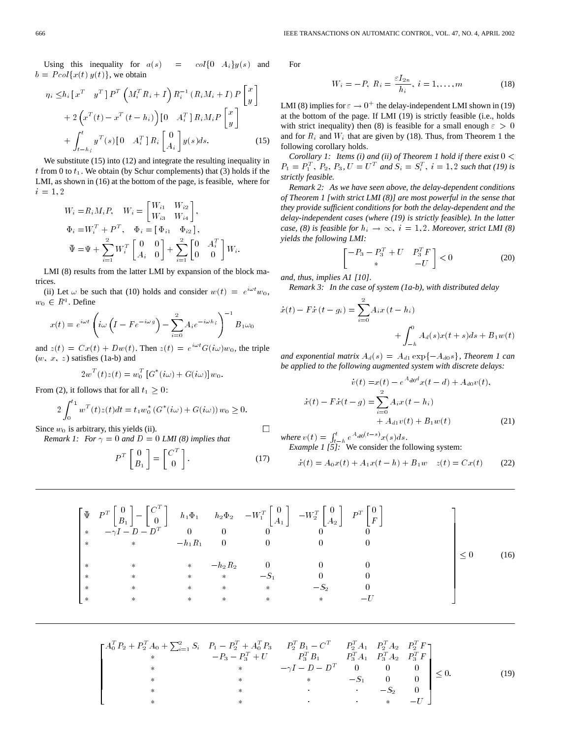Using this inequality for  $a(s) = \text{col}\{0 \mid A_i\}y(s)$  and  $b = Pool\{x(t) \, y(t)\}\,$ , we obtain

$$
= Pcol\{x(t) y(t)\}, \text{ we obtain}
$$
\n
$$
\eta_i \le h_i \left[x^T y^T\right] P^T \left(M_i^T R_i + I\right) R_i^{-1} \left(R_i M_i + I\right) P \left[y\right]
$$
\n
$$
+ 2 \left(x^T (t) - x^T (t - h_i)\right) \left[0 A_i^T\right] R_i M_i P \left[y\right]
$$
\n
$$
+ \int_{t - h_i}^t y^T (s) \left[0 A_i^T\right] R_i \left[A_i\right] y(s) ds. \tag{15}
$$

We substitute (15) into (12) and integrate the resulting inequality in t from 0 to  $t_1$ . We obtain (by Schur complements) that (3) holds if the LMI, as shown in (16) at the bottom of the page, is feasible, where for  $i = 1, 2$ 

$$
W_i = R_i M_i P, \quad W_i = \begin{bmatrix} W_{i1} & W_{i2} \\ W_{i3} & W_{i4} \end{bmatrix},
$$
  
\n
$$
\Phi_i = W_i^T + P^T, \quad \Phi_i = \begin{bmatrix} \Phi_{i1} & \Phi_{i2} \end{bmatrix},
$$
  
\n
$$
\bar{\Psi} = \Psi + \sum_{i=1}^2 W_i^T \begin{bmatrix} 0 & 0 \\ A_i & 0 \end{bmatrix} + \sum_{i=1}^2 \begin{bmatrix} 0 & A_i^T \\ 0 & 0 \end{bmatrix} W_i.
$$

LMI (8) results from the latter LMI by expansion of the block matrices.

(ii) Let  $\omega$  be such that (10) holds and consider  $w(t) = e^{i\omega t} w_0$ ,<br>  $\in R^q$ . Define  $w_0 \in R^q$ . Define

$$
\in R^{q}.\text{ Define}
$$
\n
$$
x(t) = e^{i\omega t} \left( i\omega \left( I - F e^{-i\omega g} \right) - \sum_{i=0}^{2} A_{i} e^{-i\omega h_{i}} \right)^{-1} B_{1} \omega_{0}
$$

and  $z(t) = Cx(t) + Dw(t)$ . Then  $z(t) = e^{i\omega t}G(i\omega)w_0$ , the triple  $(w, x, z)$  satisfies (1a-b) and

$$
2w^{T}(t)z(t) = w_0^{T}[G^{*}(i\omega) + G(i\omega)]w_0.
$$

From (2), it follows that for all  $t_1 \geq 0$ :

$$
2\int_0^{t_1} w^T(t)z(t)dt = t_1w_0^* (G^*(i\omega) + G(i\omega)) w_0 \ge 0.
$$

Since  $w_0$  is arbitrary, this yields (ii).

*Remark 1: For*  $\gamma = 0$  *and*  $D = 0$  *LMI* (8) *implies that* 

$$
P^T \begin{bmatrix} 0 \\ B_1 \end{bmatrix} = \begin{bmatrix} C^T \\ 0 \end{bmatrix}.
$$
 (17)

For

$$
W_i = -P, \ R_i = \frac{\varepsilon I_{2n}}{h_i}, \ i = 1, \dots, m
$$
 (18)

LMI (8) implies for  $\varepsilon \to 0^+$  the delay-independent LMI shown in (19) at the bottom of the page. If LMI (19) is strictly feasible (i.e., holds with strict inequality) then (8) is feasible for a small enough  $\varepsilon > 0$ and for  $R_i$  and  $W_i$  that are given by (18). Thus, from Theorem 1 the following corollary holds.

*Corollary 1: Items (i) and (ii) of Theorem 1 hold if there exist*  $0 <$  $P_1 = P_1^T$ ,  $P_2$ ,  $P_3$ ,  $U = U^T$  and  $S_i = S_i^T$ ,  $i = 1, 2$  *such that (19) is strictly feasible.*

*Remark 2: As we have seen above, the delay-dependent conditions of Theorem 1 [with strict LMI (8)] are most powerful in the sense that they provide sufficient conditions for both the delay-dependent and the delay-independent cases (where (19) is strictly feasible). In the latter case, (8) is feasible for*  $h_i \rightarrow \infty$ ,  $i = 1, 2$ *. Moreover, strict LMI (8) yields the following LMI:*

$$
\begin{bmatrix} -P_3 - P_3^T + U & P_3^T F \\ * & -U \end{bmatrix} < 0 \tag{20}
$$

*and, thus, implies A1 [10]*.

*Remark 3: In the case of system (1a-b), with distributed delay*

$$
\dot{x}(t) - F\dot{x}(t - g_i) = \sum_{i=0}^{2} A_i x(t - h_i) + \int_{-h}^{0} A_d(s)x(t + s)ds + B_1 w(t)
$$

and exponential matrix  $A_d(s) = A_{d1} \exp\{-A_{d0}s\}$ , Theorem 1 can *be applied to the following augmented system with discrete delays:*

$$
\dot{v}(t) = x(t) - e^{A_{d0}d}x(t - d) + A_{d0}v(t),
$$
  

$$
\dot{x}(t) - F\dot{x}(t - g) = \sum_{i=0}^{2} A_i x(t - h_i)
$$
  

$$
+ A_{d1}v(t) + B_1w(t)
$$
 (21)

*where*  $v(t) = \int_{t-h}^{t} e^{A_{d0}(t-s)} x(s) ds$ . *Example 1 [5]:* We consider the following system:

$$
\dot{x}(t) = A_0 x(t) + A_1 x(t - h) + B_1 w \quad z(t) = C x(t) \tag{22}
$$

$$
\begin{bmatrix}\n\bar{\Psi} & P^{T} \begin{bmatrix} 0 \\ B_1 \end{bmatrix} - \begin{bmatrix} C^{T} \\ 0 \end{bmatrix} & h_1 \Phi_1 & h_2 \Phi_2 & -W_1^{T} \begin{bmatrix} 0 \\ A_1 \end{bmatrix} & -W_2^{T} \begin{bmatrix} 0 \\ A_2 \end{bmatrix} & P^{T} \begin{bmatrix} 0 \\ F \end{bmatrix} \\
* & -\gamma I - D - D^{T} & 0 & 0 & 0 & 0 & 0 \\
* & * & -h_1 R_1 & 0 & 0 & 0 & 0 \\
* & * & * & * & -S_1 & 0 & 0 \\
* & * & * & * & * & -S_1 & 0 & 0 \\
* & * & * & * & * & * & -S_2 & 0 \\
* & * & * & * & * & * & -U\n\end{bmatrix} \leq 0
$$
\n(16)

 $\Box$ 

$$
\begin{bmatrix}\nA_0^T P_2 + P_2^T A_0 + \sum_{i=1}^2 S_i & P_1 - P_2^T + A_0^T P_3 & P_2^T B_1 - C^T & P_2^T A_1 & P_2^T A_2 & P_2^T F \\
* & -P_3 - P_3^T + U & P_3^T B_1 & P_3^T A_1 & P_3^T A_2 & P_3^T F \\
* & * & -\gamma I - D - D^T & 0 & 0 & 0 \\
* & * & * & * & -S_1 & 0 & 0 \\
* & * & * & * & -S_2 & 0 \\
* & * & * & * & -U\n\end{bmatrix} \le 0.
$$
\n(19)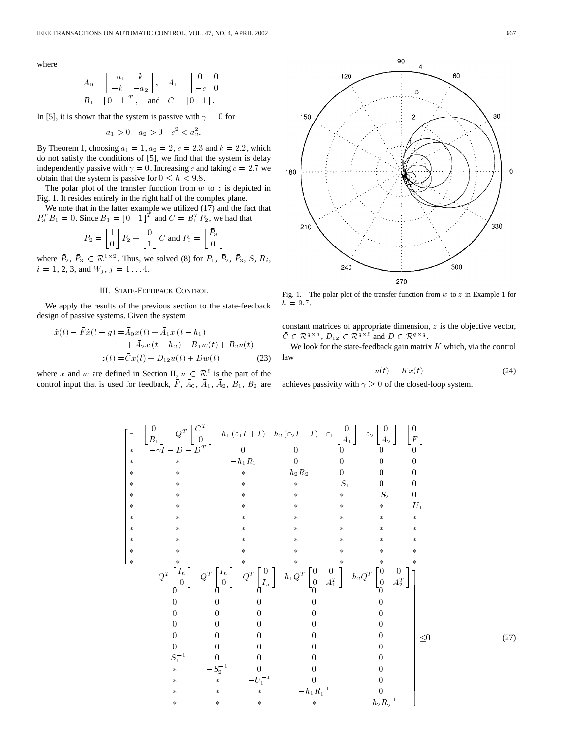where

$$
A_0 = \begin{bmatrix} -a_1 & k \\ -k & -a_2 \end{bmatrix}, \quad A_1 = \begin{bmatrix} 0 & 0 \\ -c & 0 \end{bmatrix}
$$
  
\n
$$
B_1 = \begin{bmatrix} 0 & 1 \end{bmatrix}^T, \quad \text{and} \quad C = \begin{bmatrix} 0 & 1 \end{bmatrix}.
$$

In [5], it is shown that the system is passive with  $\gamma = 0$  for

$$
a_1 > 0 \quad a_2 > 0 \quad c^2 < a_2^2.
$$

By Theorem 1, choosing  $a_1 = 1, a_2 = 2, c = 2.3$  and  $k = 2.2$ , which do not satisfy the conditions of [5], we find that the system is delay independently passive with  $\gamma = 0$ . Increasing c and taking  $c = 2.7$  we obtain that the system is passive for  $0 \leq h < 9.8$ .

The polar plot of the transfer function from  $w$  to  $z$  is depicted in Fig. 1. It resides entirely in the right half of the complex plane.

We note that in the latter example we utilized (17) and the fact that  $P_3^T B_1 = 0$ . Since  $B_1 = \begin{bmatrix} 0 & 1 \end{bmatrix}^T$  and  $C = B_1^T P_2$ , we had that

$$
P_2 = \begin{bmatrix} 1 \\ 0 \end{bmatrix} \bar{P}_2 + \begin{bmatrix} 0 \\ 1 \end{bmatrix} C \text{ and } P_3 = \begin{bmatrix} \bar{P}_3 \\ 0 \end{bmatrix}
$$

where  $\bar{P}_2$ ,  $\bar{P}_3 \in \mathcal{R}^{1 \times 2}$ . Thus, we solved (8) for  $P_1$ ,  $\bar{P}_2$ ,  $\bar{P}_3$ , S,  $R_i$ ,  $i = 1, 2, 3,$  and  $W_j$ ,  $j = 1...4$ .

# III. STATE-FEEDBACK CONTROL

We apply the results of the previous section to the state-feedback design of passive systems. Given the system

$$
\begin{aligned} \dot{x}(t) - \bar{F}\dot{x}(t - g) &= \bar{A}_0 x(t) + \bar{A}_1 x(t - h_1) \\ &+ \bar{A}_2 x(t - h_2) + B_1 w(t) + B_2 u(t) \\ &z(t) = \bar{C}x(t) + D_{12}u(t) + Dw(t) \end{aligned} \tag{23}
$$

where x and w are defined in Section II,  $u \in \mathcal{R}^{\ell}$  is the part of the control input that is used for feedback,  $\overline{F}$ ,  $\overline{A}_0$ ,  $\overline{A}_1$ ,  $\overline{A}_2$ ,  $\overline{B}_1$ ,  $\overline{B}_2$  are



Fig. 1. The polar plot of the transfer function from  $w$  to  $z$  in Example 1 for  $h = 9.7.$ 

constant matrices of appropriate dimension,  $z$  is the objective vector,  $\overline{C} \in \mathcal{R}^{q \times n}$ ,  $D_{12} \in \overline{\mathcal{R}^{q \times \ell}}$  and  $D \in \mathcal{R}^{q \times q}$ .

We look for the state-feedback gain matrix  $K$  which, via the control law

$$
u(t) = Kx(t) \tag{24}
$$

achieves passivity with  $\gamma \geq 0$  of the closed-loop system.

 <sup>0</sup> B1 <sup>+</sup> QT <sup>C</sup><sup>T</sup> <sup>0</sup> h1 ("1I <sup>+</sup> I) h2 ("2I <sup>+</sup> I) "1 0 A1 "2 0 A2 0 F 
I D D<sup>T</sup> 0 0 0 00 h1R1 0 0 00 h2R2 0 00 S1 0 0 S2 0 U1 QT In <sup>0</sup> QT In <sup>0</sup> QT <sup>0</sup> In h1QT 0 0 0 A<sup>T</sup> 1 h2QT 0 0 0 A<sup>T</sup> 2 000 0 0 000 0 0 000 0 0 000 0 0 000 0 0 000 0 0 S1 <sup>1</sup> 00 0 0 S1 <sup>2</sup> 00 0 U 1 <sup>1</sup> 0 0 h1R1 <sup>1</sup> 0 h2R1 2 0 (27)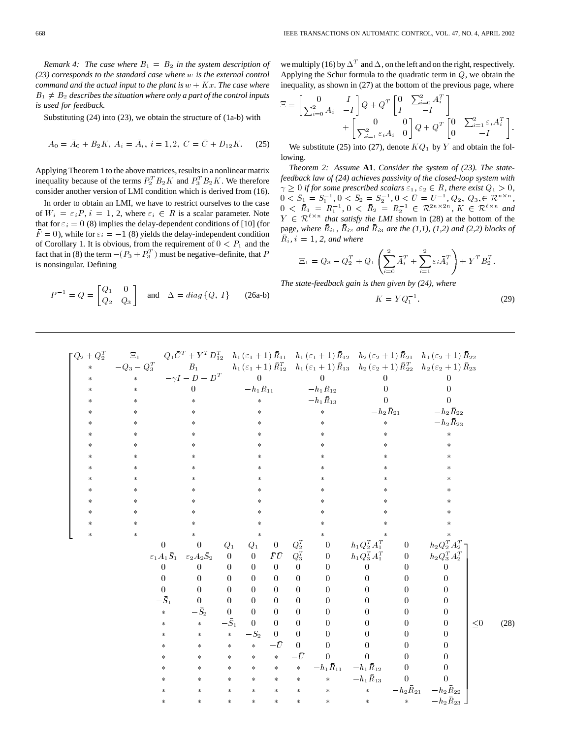*Remark 4: The case where*  $B_1 = B_2$  *in the system description of (23) corresponds to the standard case where* w *is the external control command and the actual input to the plant is*  $w + Kx$ *. The case where*  $B_1 \neq B_2$  describes the situation where only a part of the control inputs *is used for feedback.*

Substituting (24) into (23), we obtain the structure of (1a-b) with

$$
A_0 = \bar{A}_0 + B_2 K, \ A_i = \bar{A}_i, \ i = 1, 2, \ C = \bar{C} + D_{12} K. \tag{25}
$$

Applying Theorem 1 to the above matrices, results in a nonlinear matrix inequality because of the terms  $P_2^T B_2 K$  and  $P_3^T B_2 K$ . We therefore consider another version of LMI condition which is derived from (16).

In order to obtain an LMI, we have to restrict ourselves to the case of  $W_i = \varepsilon_i P$ ,  $i = 1, 2$ , where  $\varepsilon_i \in R$  is a scalar parameter. Note that for  $\varepsilon_i = 0$  (8) implies the delay-dependent conditions of [10] (for  $\bar{F} = 0$ , while for  $\varepsilon_i = -1$  (8) yields the delay-independent condition of Corollary 1. It is obvious, from the requirement of  $0 < P_1$  and the fact that in (8) the term  $-(P_3 + P_3^T)$  must be negative–definite, that P is nonsingular. Defining

$$
P^{-1} = Q = \begin{bmatrix} Q_1 & 0 \\ Q_2 & Q_3 \end{bmatrix} \text{ and } \Delta = diag\{Q, I\} \qquad (26a-b)
$$

we multiply (16) by  $\Delta^T$  and  $\Delta$ , on the left and on the right, respectively. Applying the Schur formula to the quadratic term in  $Q$ , we obtain the inequality, as shown in (27) at the bottom of the previous page, where

$$
\Xi = \begin{bmatrix} 0 & I \\ \sum_{i=0}^{2} A_i & -I \end{bmatrix} Q + Q^T \begin{bmatrix} 0 & \sum_{i=0}^{2} A_i^T \\ I & -I \end{bmatrix}
$$

$$
+ \begin{bmatrix} 0 & 0 \\ \sum_{i=1}^{2} \varepsilon_i A_i & 0 \end{bmatrix} Q + Q^T \begin{bmatrix} 0 & \sum_{i=1}^{2} \varepsilon_i A_i^T \\ 0 & -I \end{bmatrix}.
$$

We substitute (25) into (27), denote  $KQ_1$  by Y and obtain the following.

*Theorem 2: Assume* **A1**. *Consider the system of (23). The statefeedback law of (24) achieves passivity of the closed-loop system with*  $\gamma \geq 0$  *if for some prescribed scalars*  $\varepsilon_1$ ,  $\varepsilon_2 \in R$ *, there exist*  $Q_1 > 0$ *,* Fraction 2. Tastante 111: Constant the system of (25). The state<br>feedback law of (24) achieves passivity of the closed-loop system with<br> $\gamma \ge 0$  if for some prescribed scalars  $\varepsilon_1$ ,  $\varepsilon_2 \in R$ , there exist  $Q_1 > 0$ ,<br> $0$  $0 \leq \bar{R}_1 = R_1^{-1}, \, 0 \leq \bar{R}_2 = R_2^{-1} \in \mathcal{R}^{2n \times 2n}, \, K \in \mathcal{R}^{\ell \times n}$  and  $Y \in \mathcal{R}^{\ell \times n}$  *that satisfy the LMI* shown in (28) at the bottom of the page, *where*  $\overline{R}_{i1}$ ,  $\overline{R}_{i2}$  *and*  $\overline{R}_{i3}$  *are the* (1,1), (1,2) *and* (2,2) *blocks of*  $\bar{R}_i$ ,  $i = 1, 2$ , and where

$$
\Xi_1 = Q_3 - Q_2^T + Q_1 \left( \sum_{i=0}^2 \bar{A}_i^T + \sum_{i=1}^2 \varepsilon_i \bar{A}_i^T \right) + Y^T B_2^T.
$$

*The state-feedback gain is then given by (24), where*

$$
K = Y Q_1^{-1}.
$$
\n
$$
(29)
$$

$$
Q_2 + Q_2^T = \sum_{\substack{i=1 \ n \text{ odd}} \binom{1}{i} (i+1) P_{12} - h_1(i+1) P_{11} - h_1(i+1) P_{12} - h_2(i+1) P_{13} - h_2(i+1) P_{12} - h_1(i+1) P_{13} - h_2(i+1) P_{12} - h_2(i+1) P_{13} - h_2(i+1) P_{13} - h_2(i+1) P_{13} - h_2(i+1) P_{13} - h_2(i+1) P_{13} - h_2(i+1) P_{13} - h_2(i+1) P_{13} - h_2(i+1) P_{13} - h_2(i+1) P_{13} - h_2(i+1) P_{13} - h_2(i+1) P_{13} - h_2(i+1) P_{13} - h_2(i+1) P_{13} - h_2(i+1) P_{13} - h_2(i+1) P_{13} - h_2(i+1) P_{13} - h_2(i+1) P_{13} - h_2(i+1) P_{13} - h_2(i+1) P_{13} - h_2(i+1) P_{13} - h_2(i+1) P_{13} - h_2(i+1) P_{13} - h_2(i+1) P_{13} - h_2(i+1) P_{13} - h_2(i+1) P_{13} - h_2(i+1) P_{13} - h_2(i+1) P_{13} - h_2(i+1) P_{13} - h_2(i+1) P_{13} - h_2(i+1) P_{13} - h_2(i+1) P_{13} - h_2(i+1) P_{13} - h_2(i+1) P_{13} - h_2(i+1) P_{13} - h_2(i+1) P_{13} - h_2(i+1) P_{13} - h_2(i+1) P_{13} - h_2(i+1) P_{13} - h_2(i+1) P_{13} - h_2(i+1) P_{13} - h_2(i+1) P_{13} - h_2(i+1) P_{13} - h_2(i+1) P_{13} - h_2(i+1) P_{13} - h_2(i+1) P_{13} - h_2(i+1) P_{13} - h_2(i+1) P_{13} - h_2(i+1) P_{13} - h_2(i+1) P_{13}
$$